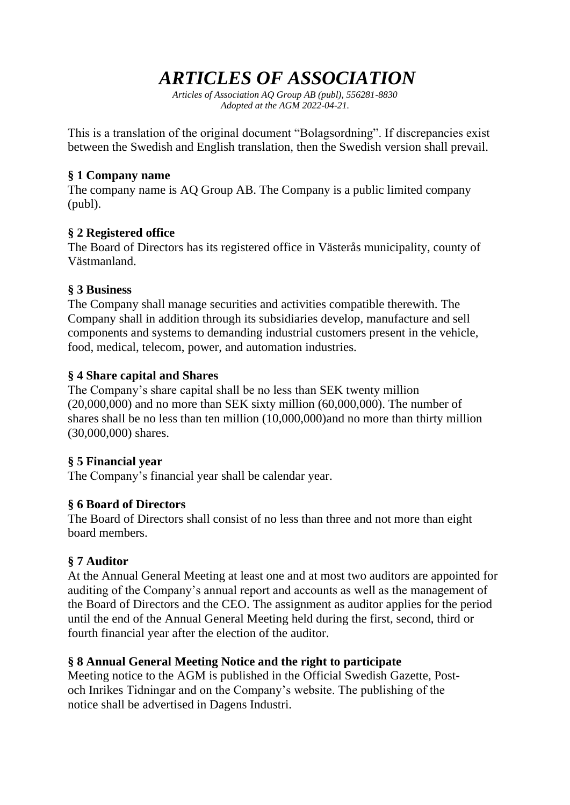# *ARTICLES OF ASSOCIATION*

*Articles of Association AQ Group AB (publ), 556281-8830 Adopted at the AGM 2022-04-21.*

This is a translation of the original document "Bolagsordning". If discrepancies exist between the Swedish and English translation, then the Swedish version shall prevail.

#### **§ 1 Company name**

The company name is AQ Group AB. The Company is a public limited company (publ).

#### **§ 2 Registered office**

The Board of Directors has its registered office in Västerås municipality, county of Västmanland.

### **§ 3 Business**

The Company shall manage securities and activities compatible therewith. The Company shall in addition through its subsidiaries develop, manufacture and sell components and systems to demanding industrial customers present in the vehicle, food, medical, telecom, power, and automation industries.

# **§ 4 Share capital and Shares**

The Company's share capital shall be no less than SEK twenty million  $(20,000,000)$  and no more than SEK sixty million  $(60,000,000)$ . The number of shares shall be no less than ten million (10,000,000)and no more than thirty million (30,000,000) shares.

#### **§ 5 Financial year**

The Company's financial year shall be calendar year.

# **§ 6 Board of Directors**

The Board of Directors shall consist of no less than three and not more than eight board members.

# **§ 7 Auditor**

At the Annual General Meeting at least one and at most two auditors are appointed for auditing of the Company's annual report and accounts as well as the management of the Board of Directors and the CEO. The assignment as auditor applies for the period until the end of the Annual General Meeting held during the first, second, third or fourth financial year after the election of the auditor.

#### **§ 8 Annual General Meeting Notice and the right to participate**

Meeting notice to the AGM is published in the Official Swedish Gazette, Postoch Inrikes Tidningar and on the Company's website. The publishing of the notice shall be advertised in Dagens Industri.